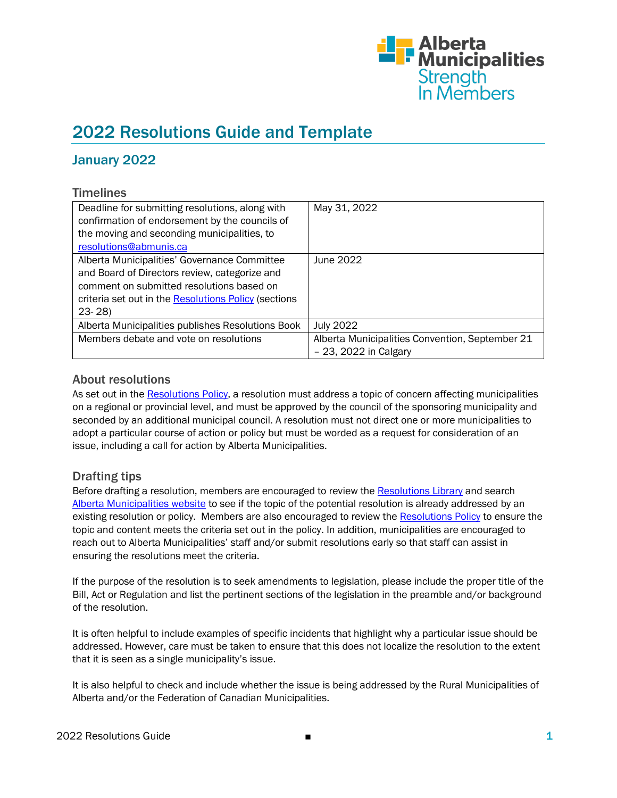

# 2022 Resolutions Guide and Template

# January 2022

## **Timelines**

| Deadline for submitting resolutions, along with<br>confirmation of endorsement by the councils of<br>the moving and seconding municipalities, to | May 31, 2022                                    |
|--------------------------------------------------------------------------------------------------------------------------------------------------|-------------------------------------------------|
| resolutions@abmunis.ca                                                                                                                           |                                                 |
| Alberta Municipalities' Governance Committee                                                                                                     | June 2022                                       |
| and Board of Directors review, categorize and                                                                                                    |                                                 |
| comment on submitted resolutions based on                                                                                                        |                                                 |
| criteria set out in the Resolutions Policy (sections                                                                                             |                                                 |
| $23 - 28$                                                                                                                                        |                                                 |
| Alberta Municipalities publishes Resolutions Book                                                                                                | <b>July 2022</b>                                |
| Members debate and vote on resolutions                                                                                                           | Alberta Municipalities Convention, September 21 |
|                                                                                                                                                  | $-23, 2022$ in Calgary                          |

### About resolutions

As set out in the [Resolutions Policy,](https://www.abmunis.ca/system/files/2022-01/Policy%20AP002%20-%20Resolutions%20Policy-%20updated%20web%20version.pdf) a resolution must address a topic of concern affecting municipalities on a regional or provincial level, and must be approved by the council of the sponsoring municipality and seconded by an additional municipal council. A resolution must not direct one or more municipalities to adopt a particular course of action or policy but must be worded as a request for consideration of an issue, including a call for action by Alberta Municipalities.

## Drafting tips

Before drafting a resolution, members are encouraged to review th[e Resolutions Library](https://www.abmunis.ca/advocacy-resources/resolutions/resolutions-library) and search [Alberta Municipalities website](https://www.abmunis.ca/) to see if the topic of the potential resolution is already addressed by an existing resolution or policy. Members are also encouraged to review the [Resolutions Policy](https://www.abmunis.ca/system/files/2022-01/Policy%20AP002%20-%20Resolutions%20Policy-%20updated%20web%20version.pdf) to ensure the topic and content meets the criteria set out in the policy. In addition, municipalities are encouraged to reach out to Alberta Municipalities' staff and/or submit resolutions early so that staff can assist in ensuring the resolutions meet the criteria.

If the purpose of the resolution is to seek amendments to legislation, please include the proper title of the Bill, Act or Regulation and list the pertinent sections of the legislation in the preamble and/or background of the resolution.

It is often helpful to include examples of specific incidents that highlight why a particular issue should be addressed. However, care must be taken to ensure that this does not localize the resolution to the extent that it is seen as a single municipality's issue.

It is also helpful to check and include whether the issue is being addressed by the Rural Municipalities of Alberta and/or the Federation of Canadian Municipalities.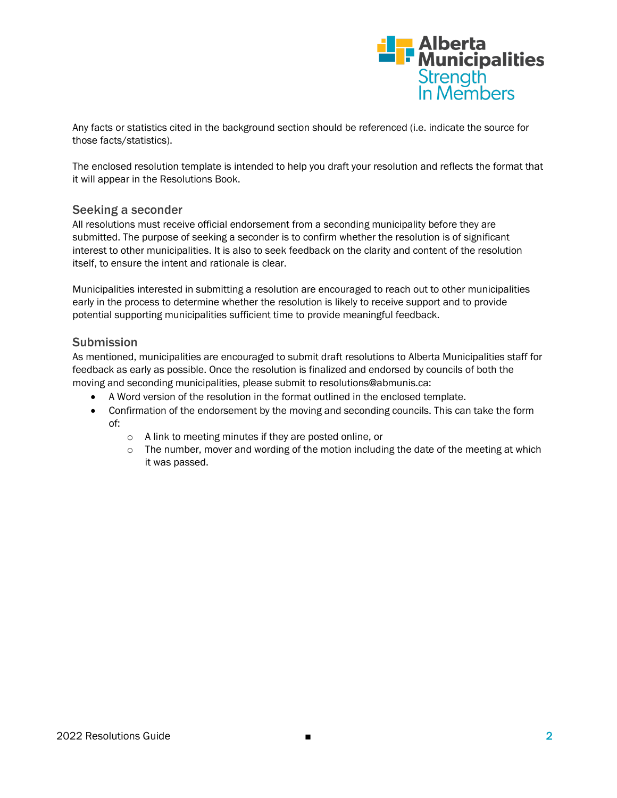

Any facts or statistics cited in the background section should be referenced (i.e. indicate the source for those facts/statistics).

The enclosed resolution template is intended to help you draft your resolution and reflects the format that it will appear in the Resolutions Book.

#### Seeking a seconder

All resolutions must receive official endorsement from a seconding municipality before they are submitted. The purpose of seeking a seconder is to confirm whether the resolution is of significant interest to other municipalities. It is also to seek feedback on the clarity and content of the resolution itself, to ensure the intent and rationale is clear.

Municipalities interested in submitting a resolution are encouraged to reach out to other municipalities early in the process to determine whether the resolution is likely to receive support and to provide potential supporting municipalities sufficient time to provide meaningful feedback.

#### **Submission**

As mentioned, municipalities are encouraged to submit draft resolutions to Alberta Municipalities staff for feedback as early as possible. Once the resolution is finalized and endorsed by councils of both the moving and seconding municipalities, please submit to resolutions@abmunis.ca:

- A Word version of the resolution in the format outlined in the enclosed template.
- Confirmation of the endorsement by the moving and seconding councils. This can take the form of:
	- o A link to meeting minutes if they are posted online, or
	- $\circ$  The number, mover and wording of the motion including the date of the meeting at which it was passed.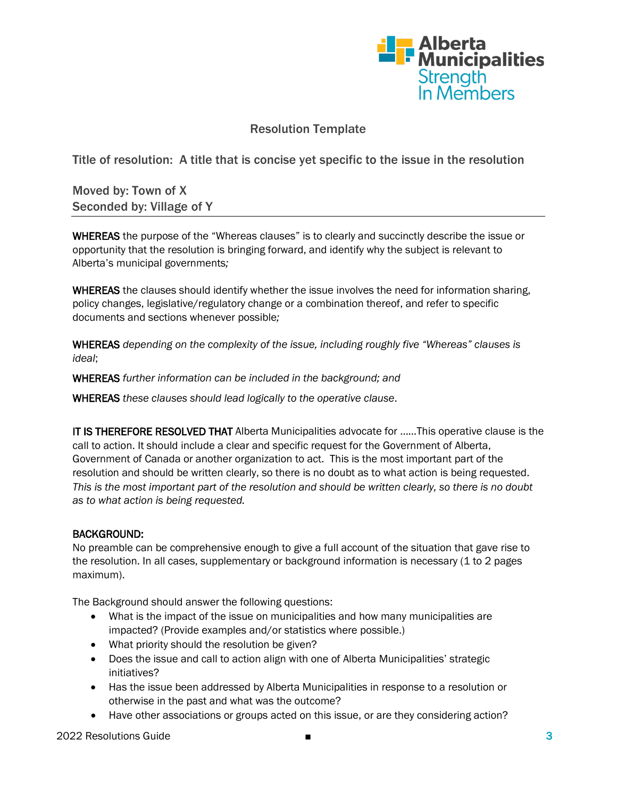

# Resolution Template

Title of resolution: A title that is concise yet specific to the issue in the resolution

Moved by: Town of X Seconded by: Village of Y

WHEREAS the purpose of the "Whereas clauses" is to clearly and succinctly describe the issue or opportunity that the resolution is bringing forward, and identify why the subject is relevant to Alberta's municipal governments*;*

WHEREAS the clauses should identify whether the issue involves the need for information sharing, policy changes, legislative/regulatory change or a combination thereof, and refer to specific documents and sections whenever possible*;*

WHEREAS *depending on the complexity of the issue, including roughly five "Whereas" clauses is ideal*;

WHEREAS *further information can be included in the background; and*

WHEREAS *these clauses should lead logically to the operative clause*.

IT IS THEREFORE RESOLVED THAT Alberta Municipalities advocate for ……This operative clause is the call to action. It should include a clear and specific request for the Government of Alberta, Government of Canada or another organization to act. This is the most important part of the resolution and should be written clearly, so there is no doubt as to what action is being requested. *This is the most important part of the resolution and should be written clearly, so there is no doubt as to what action is being requested.*

#### BACKGROUND:

No preamble can be comprehensive enough to give a full account of the situation that gave rise to the resolution. In all cases, supplementary or background information is necessary (1 to 2 pages maximum).

The Background should answer the following questions:

- What is the impact of the issue on municipalities and how many municipalities are impacted? (Provide examples and/or statistics where possible.)
- What priority should the resolution be given?
- Does the issue and call to action align with one of Alberta Municipalities' strategic initiatives?
- Has the issue been addressed by Alberta Municipalities in response to a resolution or otherwise in the past and what was the outcome?
- Have other associations or groups acted on this issue, or are they considering action?

2022 Resolutions Guide ■ 3